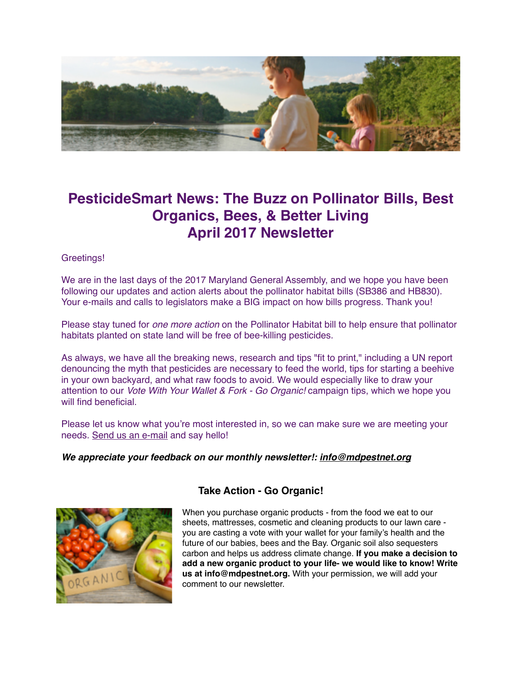

# **PesticideSmart News: The Buzz on Pollinator Bills, Best Organics, Bees, & Better Living April 2017 Newsletter**

#### Greetings!

We are in the last days of the 2017 Maryland General Assembly, and we hope you have been following our updates and action alerts about the pollinator habitat bills (SB386 and HB830). Your e-mails and calls to legislators make a BIG impact on how bills progress. Thank you!

Please stay tuned for *one more action* on the Pollinator Habitat bill to help ensure that pollinator habitats planted on state land will be free of bee-killing pesticides.

As always, we have all the breaking news, research and tips "fit to print," including a UN report denouncing the myth that pesticides are necessary to feed the world, tips for starting a beehive in your own backyard, and what raw foods to avoid. We would especially like to draw your attention to our *Vote With Your Wallet & Fork - Go Organic!* campaign tips, which we hope you will find beneficial.

Please let us know what you're most interested in, so we can make sure we are meeting your needs. [Send us an e-mail](mailto:info@mdpestnet.org?subject=) and say hello!

#### *We appreciate your feedback on our monthly newsletter!: [info@mdpestnet.org](mailto:info@mdpestnet.org)*



#### **Take Action - Go Organic!**

When you purchase organic products - from the food we eat to our sheets, mattresses, cosmetic and cleaning products to our lawn care you are casting a vote with your wallet for your family's health and the future of our babies, bees and the Bay. Organic soil also sequesters carbon and helps us address climate change. **If you make a decision to add a new organic product to your life- we would like to know! Write us at info@mdpestnet.org.** With your permission, we will add your comment to our newsletter.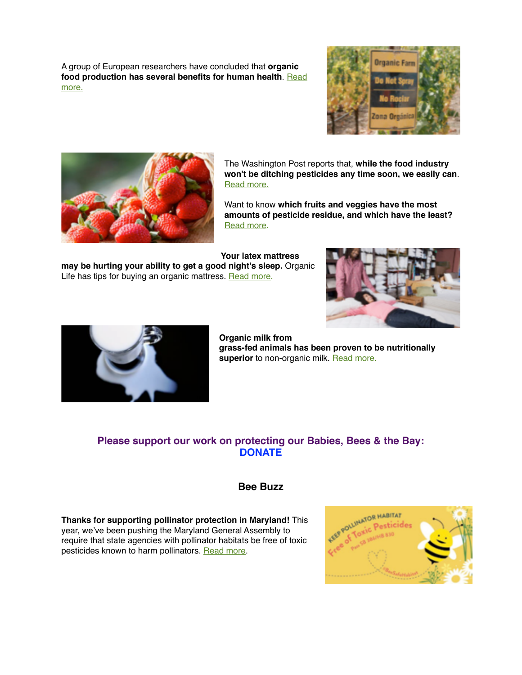A group of European researchers have concluded that **organic** [food production has several benefits for human health](https://medicalxpress.com/news/2017-01-agriculture-human-health.html). Read more.





The Washington Post reports that, **while the food industry won't be ditching pesticides any time soon, we easily can**. [Read more.](https://www.washingtonpost.com/lifestyle/home/the-food-industry-isnt-going-to-ditch-pesticides-any-time-soon-but-you-can-in-your-own-garden/2017/03/21/f4a9daa8-08bf-11e7-b77c-0047d15a24e0_story.html?utm_term=.bcee1dea5cc2)

Want to know **which fruits and veggies have the most amounts of pesticide residue, and which have the least?** [Read more.](http://www.mnn.com/food/healthy-eating/stories/dirty-dozen-list-pesticides-strawberries-top-list)

**Your latex mattress** 

**may be hurting your ability to get a good night's sleep.** Organic Life has tips for buying an organic mattress. [Read more.](http://www.rodalesorganiclife.com/home/affordable-organic-mattresses)





**Organic milk from grass-fed animals has been proven to be nutritionally**  superior to non-organic milk. [Read more](https://www.organicconsumers.org/news/there%E2%80%99s-one-key-factor-shows-why-organic-milk-healthier-you).

## **Please support our work on protecting our Babies, Bees & the Bay: [DONATE](https://donatenow.networkforgood.org/MDSmartonPesticides)**

### **Bee Buzz**

**Thanks for supporting pollinator protection in Maryland!** This year, we've been pushing the Maryland General Assembly to require that state agencies with pollinator habitats be free of toxic pesticides known to harm pollinators. [Read more](http://www.mdpestnet.org/update-pollinator-protection-legislation-maryland/).

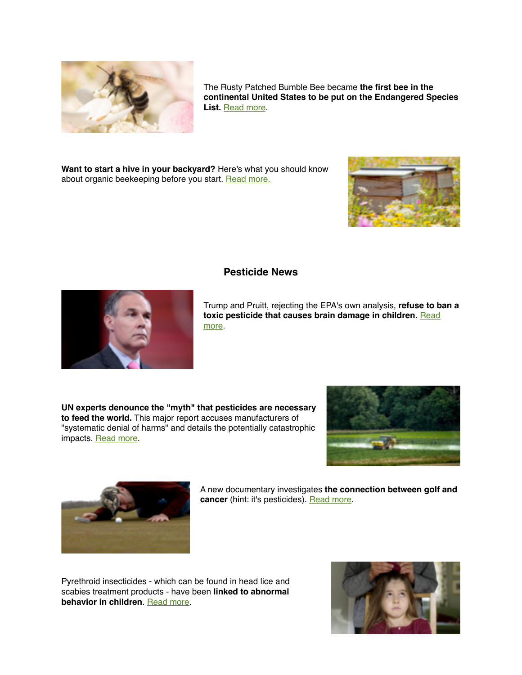

The Rusty Patched Bumble Bee became **the first bee in the continental United States to be put on the Endangered Species List.** [Read more.](http://campaign.r20.constantcontact.com/render?m=1102968923571&ca=f02244d0-b64a-44d8-b68e-f840c678aacf)

**Want to start a hive in your backyard?** Here's what you should know about organic beekeeping before you start. [Read more.](http://www.rodalesorganiclife.com/home/6-things-you-need-to-know-about-organic-beekeeping-before-starting-a-backyard-hive?utm_campaign=OrganicLife&utm_source=rodalesorganiclife.com&utm_medium=newsletter&smartcode=YN_0005409186_0001601018&sha1hashlower=78f458218bd26cd0a0c9843f2703bff3c35dd3fd&md5hash=e41dc230251a478412b9b0aaf5616c09)



#### **Pesticide News**

Trump and Pruitt, rejecting the EPA's own analysis, **refuse to ban a [toxic pesticide that causes brain damage in children](https://www.washingtonpost.com/news/energy-environment/wp/2017/03/29/trump-epa-declines-to-ban-pesticide-that-obama-had-proposed-outlawing/?utm_term=.4f9734477ee1)**. Read more.

**UN experts denounce the "myth" that pesticides are necessary to feed the world.** This major report accuses manufacturers of "systematic denial of harms" and details the potentially catastrophic impacts. [Read more](https://www.theguardian.com/environment/2017/mar/07/un-experts-denounce-myth-pesticides-are-necessary-to-feed-the-world?utm_source=esp&utm_medium=Email&utm_campaign=Green+Light+2016&utm_term=216825&subid=22421344&CMP=EMCENVEML1631).





A new documentary investigates **the connection between golf and cancer** (hint: it's pesticides). [Read more](https://nowtoronto.com/news/ecoholic/golf-cancer-dad-and-the-dandelions/).

Pyrethroid insecticides - which can be found in head lice and scabies treatment products - have been **linked to abnormal behavior in children**. [Read more](http://www.smh.com.au/business/consumer-affairs/pyrethroid-insecticides-linked-to-abnormal-behaviour-in-children-study-shows-20170301-guo1dd.html).